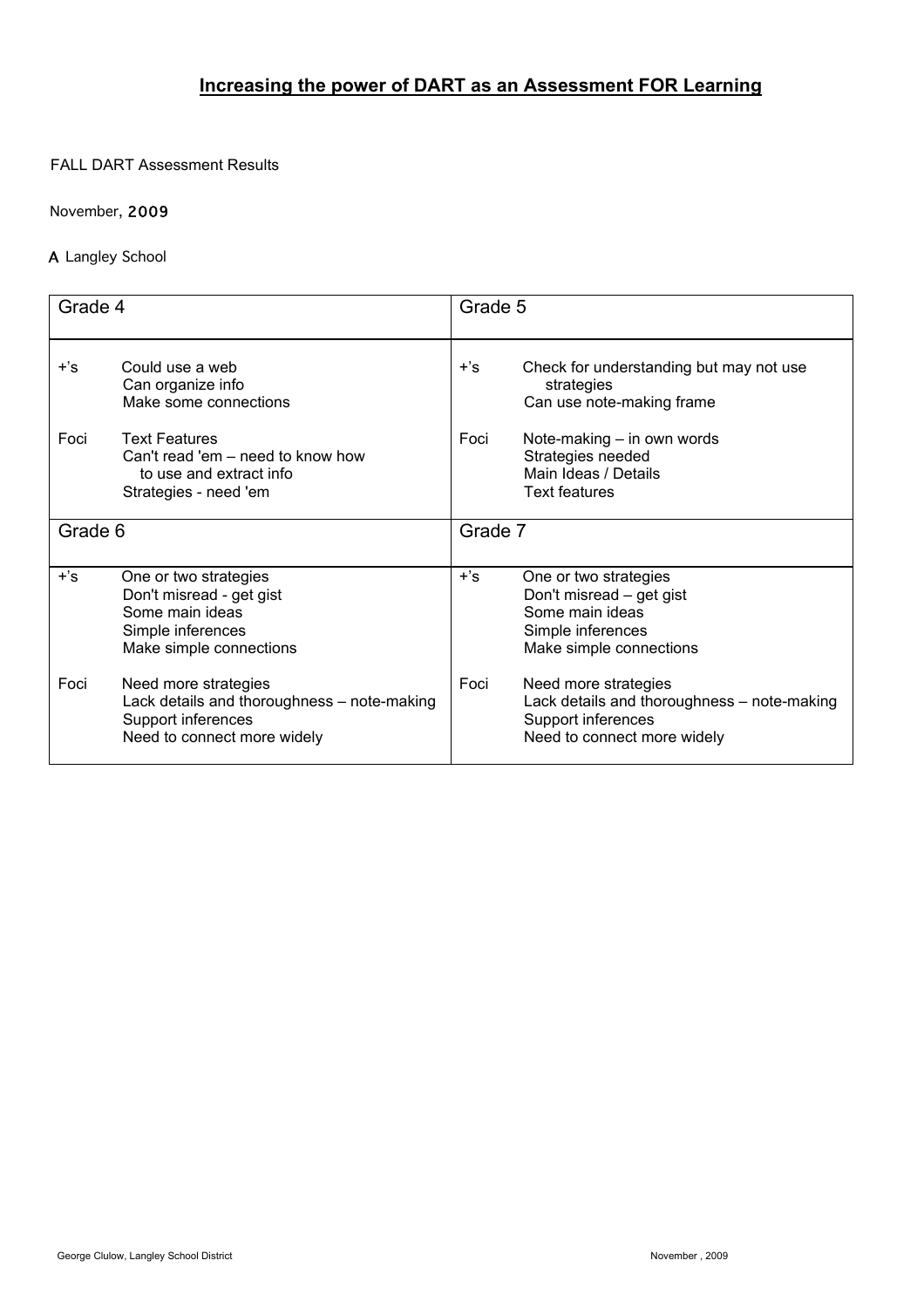# **Increasing the power of DART as an Assessment FOR Learning**

### FALL DART Assessment Results

### November, 2009

## A Langley School

| Grade 4 |                                                                                                                          | Grade 5 |                                                                                                                          |
|---------|--------------------------------------------------------------------------------------------------------------------------|---------|--------------------------------------------------------------------------------------------------------------------------|
| $+$ 's  | Could use a web<br>Can organize info<br>Make some connections                                                            | $+$ 's  | Check for understanding but may not use<br>strategies<br>Can use note-making frame                                       |
| Foci    | <b>Text Features</b><br>Can't read 'em – need to know how<br>to use and extract info<br>Strategies - need 'em            | Foci    | Note-making - in own words<br>Strategies needed<br>Main Ideas / Details<br><b>Text features</b>                          |
| Grade 6 |                                                                                                                          | Grade 7 |                                                                                                                          |
| $+$ 's  | One or two strategies<br>Don't misread - get gist<br>Some main ideas<br>Simple inferences<br>Make simple connections     | $+$ 's  | One or two strategies<br>Don't misread – get gist<br>Some main ideas<br>Simple inferences<br>Make simple connections     |
| Foci    | Need more strategies<br>Lack details and thoroughness - note-making<br>Support inferences<br>Need to connect more widely | Foci    | Need more strategies<br>Lack details and thoroughness - note-making<br>Support inferences<br>Need to connect more widely |